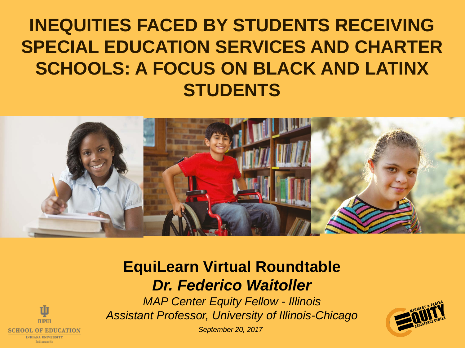### **INEQUITIES FACED BY STUDENTS RECEIVING SPECIAL EDUCATION SERVICES AND CHARTER SCHOOLS: A FOCUS ON BLACK AND LATINX STUDENTS**



#### **EquiLearn Virtual Roundtable** *Dr. Federico Waitoller*

*MAP Center Equity Fellow - Illinois Assistant Professor, University of Illinois-Chicago*





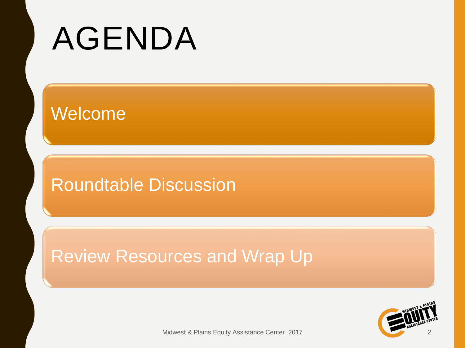# AGENDA

### Welcome

### Roundtable Discussion

### Review Resources and Wrap Up



Midwest & Plains Equity Assistance Center 2017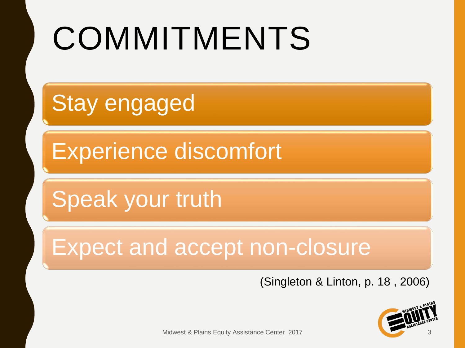# COMMITMENTS

**Stay engaged** 

Experience discomfort

Speak your truth

Expect and accept non-closure

(Singleton & Linton, p. 18 , 2006)



Midwest & Plains Equity Assistance Center 2017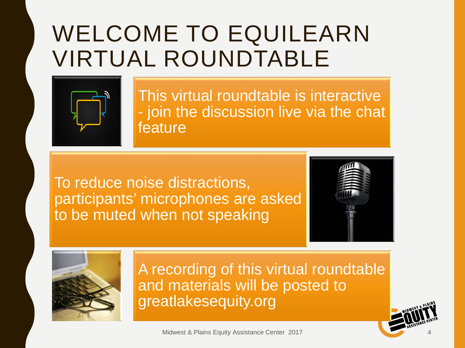### WELCOME TO EQUILEARN VIRTUAL ROUNDTABLE



This virtual roundtable is interactive - join the discussion live via the chat feature

To reduce noise distractions, participants' microphones are asked to be muted when not speaking





A recording of this virtual roundtable and materials will be posted to greatlakesequity.org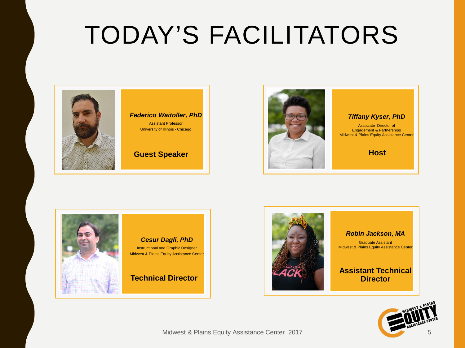## TODAY'S FACILITATORS





#### *Tiffany Kyser, PhD*

Associate Director of Engagement & Partnerships Midwest & Plains Equity Assistance Center

**Host**





#### *Robin Jackson, MA*

Graduate Assistant Midwest & Plains Equity Assistance Center

#### **Assistant Technical Director**

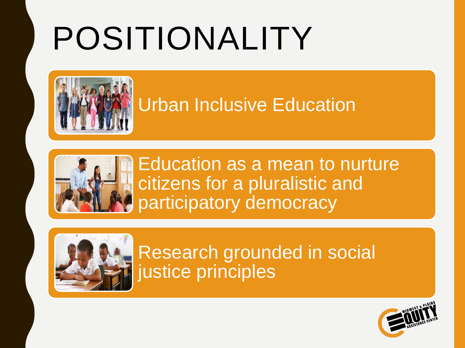# POSITIONALITY



### Urban Inclusive Education



Education as a mean to nurture citizens for a pluralistic and participatory democracy



Research grounded in social justice principles

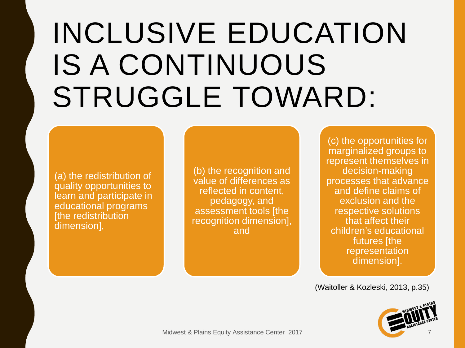## INCLUSIVE EDUCATION IS A CONTINUOUS STRUGGLE TOWARD:

(a) the redistribution of quality opportunities to learn and participate in educational programs [the redistribution dimension],

(b) the recognition and value of differences as reflected in content, pedagogy, and assessment tools [the recognition dimension], and

(c) the opportunities for marginalized groups to represent themselves in decision-making processes that advance and define claims of exclusion and the respective solutions that affect their children's educational futures [the representation dimension].

(Waitoller & Kozleski, 2013, p.35)

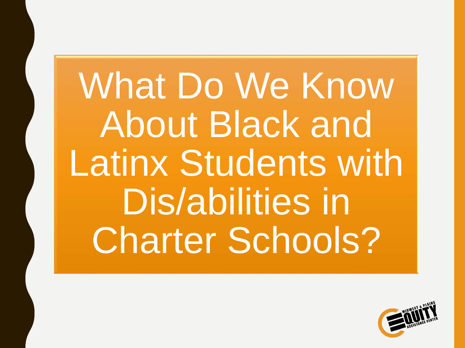What Do We Know About Black and Latinx Students with Dis/abilities in Charter Schools?

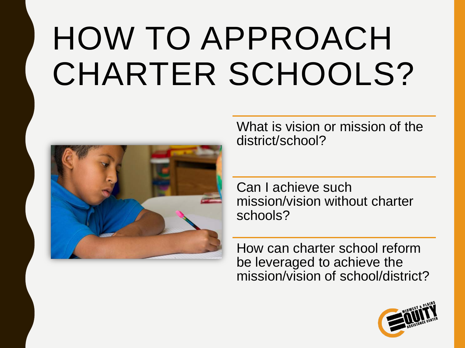# HOW TO APPROACH CHARTER SCHOOLS?



What is vision or mission of the district/school?

Can I achieve such mission/vision without charter schools?

How can charter school reform be leveraged to achieve the mission/vision of school/district?

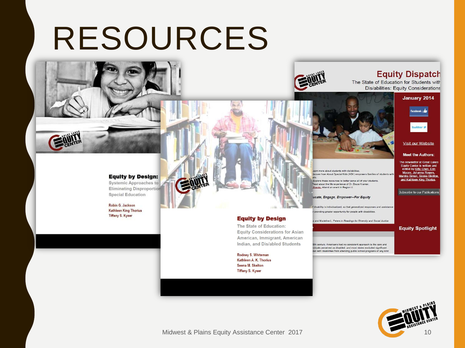## RESOURCES



#### **Equity Dispatch**

The State of Education for Students with Dis/abilities: Equity Considerations





#### Visit our Website

**Meet the Authors:** 

The newsletter at Great Lakes Equity Center is written and edited by Kitty Chen, Erin Macey, Juhanna Rogers, Marsha Simon, Seena Skelton and Kathleen King Thorius.

Subscribe to our Publications

ucate, Engage, Empower--For Equity

re these resources to better serve all of your students.

n more about students with dis/abilities

Events: Attend an event in Region V.

Read about the life experience of Dr. Bruce Kramer.

disability is individualized, so that generalized responses and assistance

r how About Special Kids (ASK) empowers families of students with

providing greater opportunity for people with disabilities.

| a and Madeline L. Peters in Readings for Diversity and Social Justice                                                                          | <b>Equity Spotlight</b> |
|------------------------------------------------------------------------------------------------------------------------------------------------|-------------------------|
|                                                                                                                                                |                         |
| Oth century, Americans had no consistent approach to the care and                                                                              |                         |
| viduals perceived as disabled, and most states excluded significant<br>ren with disabilities from attending public school programs of any kind |                         |



#### **Equity by Design:**

**Systemic Approaches to Eliminating Disproportion Special Education** 

Robin G. Jackson Kathleen King Thorius **Tiffany S. Kyser** 

**Equity by Design** 

The State of Education: **Equity Considerations for Asian** American, Immigrant, American Indian, and Dis/abled Students

Rodney S. Whiteman Kathleen A. K. Thorius Seena M. Skelton **Tiffany S. Kyser** 

Midwest & Plains Equity Assistance Center 2017 10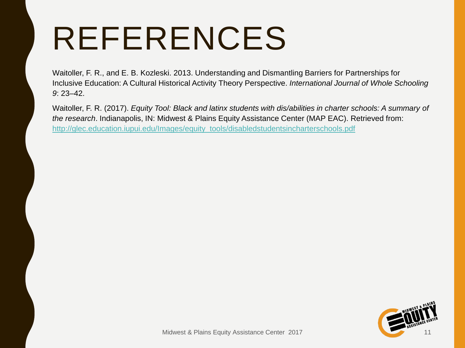## REFERENCES

Waitoller, F. R., and E. B. Kozleski. 2013. Understanding and Dismantling Barriers for Partnerships for Inclusive Education: A Cultural Historical Activity Theory Perspective. *International Journal of Whole Schooling 9*: 23–42.

Waitoller, F. R. (2017). *Equity Tool: Black and latinx students with dis/abilities in charter schools: A summary of the research*. Indianapolis, IN: Midwest & Plains Equity Assistance Center (MAP EAC). Retrieved from: [http://glec.education.iupui.edu/Images/equity\\_tools/disabledstudentsincharterschools.pdf](http://glec.education.iupui.edu/Images/equity_tools/disabledstudentsincharterschools.pdf)